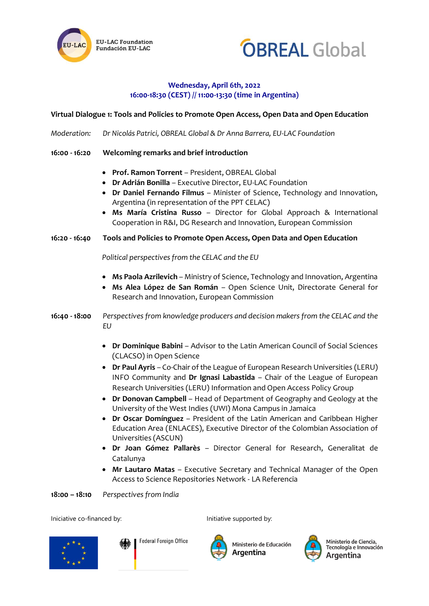



## **Wednesday, April 6th, 2022 16:00-18:30 (CEST) // 11:00-13:30 (time in Argentina)**

**Virtual Dialogue 1: Tools and Policies to Promote Open Access, Open Data and Open Education**

*Moderation: Dr Nicolás Patrici, OBREAL Global & Dr Anna Barrera, EU-LAC Foundation*

- **16:00 - 16:20 Welcoming remarks and brief introduction**
	- **Prof. Ramon Torrent** President, OBREAL Global
	- **Dr Adrián Bonilla** Executive Director, EU-LAC Foundation
	- **Dr Daniel Fernando Filmus** Minister of Science, Technology and Innovation, Argentina (in representation of the PPT CELAC)
	- **Ms María Cristina Russo** Director for Global Approach & International Cooperation in R&I, DG Research and Innovation, European Commission

## **16:20 - 16:40 Tools and Policies to Promote Open Access, Open Data and Open Education**

*Political perspectives from the CELAC and the EU*

- **Ms Paola Azrilevich** Ministry of Science, Technology and Innovation, Argentina
- **Ms Alea López de San Román** Open Science Unit, Directorate General for Research and Innovation, European Commission
- **16:40 - 18:00** *Perspectives from knowledge producers and decision makers from the CELAC and the EU*
	- **Dr Dominique Babini** Advisor to the Latin American Council of Social Sciences (CLACSO) in Open Science
	- **Dr Paul Ayris**  Co-Chair of the League of European Research Universities (LERU) INFO Community and **Dr Ignasi Labastida** – Chair of the League of European Research Universities (LERU) Information and Open Access Policy Group
	- **Dr Donovan Campbell** Head of Department of Geography and Geology at the University of the West Indies (UWI) Mona Campus in Jamaica
	- **Dr Oscar Domínguez** President of the Latin American and Caribbean Higher Education Area (ENLACES), Executive Director of the Colombian Association of Universities (ASCUN)
	- **Dr Joan Gómez Pallarès** Director General for Research, Generalitat de Catalunya
	- **Mr Lautaro Matas** Executive Secretary and Technical Manager of the Open Access to Science Repositories Network - LA Referencia

**18:00 – 18:10** *Perspectives from India*

Iniciative co-financed by: Initiative supported by:



**Federal Foreign Office** 

Ministerio de Educación Argentina



Ministerio de Ciencia, ramoterro de crencia,<br>Tecnología e Innovación Argentina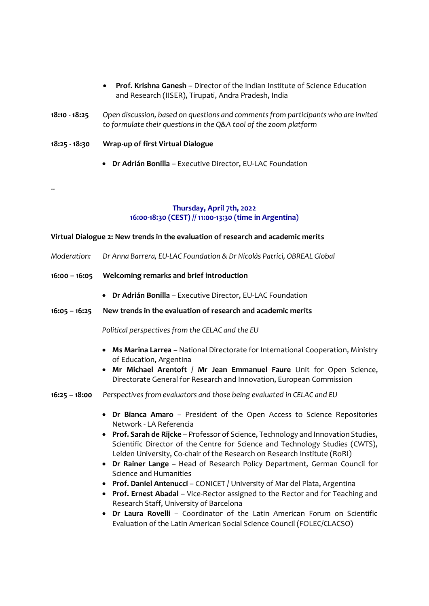- **Prof. Krishna Ganesh**  Director of the Indian Institute of Science Education and Research (IISER), Tirupati, Andra Pradesh, India
- **18:10 - 18:25** *Open discussion, based on questions and comments from participants who are invited to formulate their questions in the Q&A tool of the zoom platform*

**18:25 - 18:30 Wrap-up of first Virtual Dialogue**

**--**

• **Dr Adrián Bonilla** – Executive Director, EU-LAC Foundation

## **Thursday, April 7th, 2022 16:00-18:30 (CEST) // 11:00-13:30 (time in Argentina)**

## **Virtual Dialogue 2: New trends in the evaluation of research and academic merits**

- *Moderation: Dr Anna Barrera, EU-LAC Foundation & Dr Nicolás Patrici, OBREAL Global*
- **16:00 – 16:05 Welcoming remarks and brief introduction**
	- **Dr Adrián Bonilla** Executive Director, EU-LAC Foundation
- **16:05 – 16:25 New trends in the evaluation of research and academic merits**

*Political perspectives from the CELAC and the EU*

- **Ms Marina Larrea** National Directorate for International Cooperation, Ministry of Education, Argentina
- **Mr Michael Arentoft / Mr Jean Emmanuel Faure** Unit for Open Science, Directorate General for Research and Innovation, European Commission
- **16:25 – 18:00** *Perspectives from evaluators and those being evaluated in CELAC and EU* 
	- **Dr Bianca Amaro** President of the Open Access to Science Repositories Network - LA Referencia
	- **Prof. Sarah de Rijcke** Professor of Science, Technology and Innovation Studies, Scientific Director of the Centre for Science and Technology Studies (CWTS), Leiden University, Co-chair of the Research on Research Institute (RoRI)
	- **Dr Rainer Lange**  Head of Research Policy Department, German Council for Science and Humanities
	- **Prof. Daniel Antenucci**  CONICET / University of Mar del Plata, Argentina
	- **Prof. Ernest Abadal** Vice-Rector assigned to the Rector and for Teaching and Research Staff, University of Barcelona
	- **Dr Laura Rovelli** Coordinator of the Latin American Forum on Scientific Evaluation of the Latin American Social Science Council (FOLEC/CLACSO)